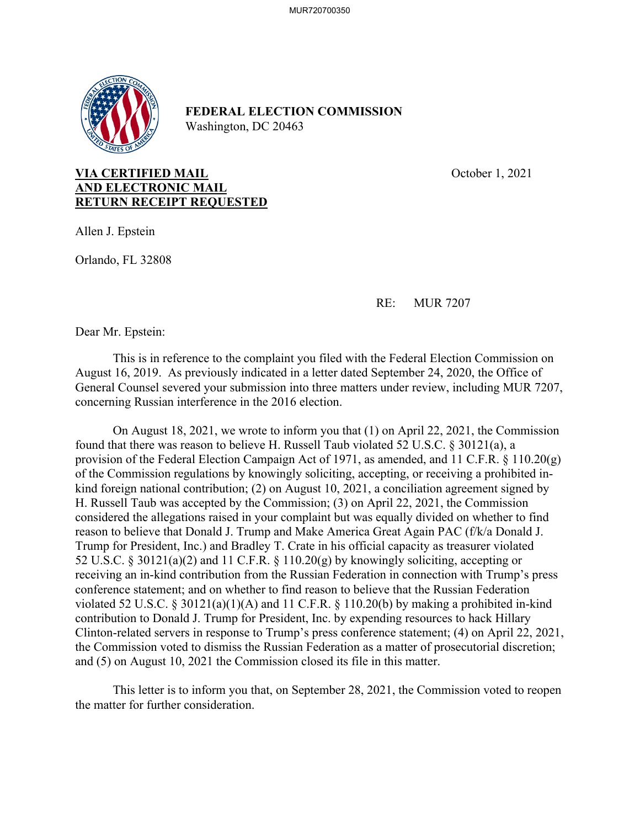

## **FEDERAL ELECTION COMMISSION**  Washington, DC 20463

## **VIA CERTIFIED MAIL COMPANY COMPANY October 1, 2021 AND ELECTRONIC MAIL RETURN RECEIPT REQUESTED**

Allen J. Epstein

Orlando, FL 32808

RE: MUR 7207

Dear Mr. Epstein:

 This is in reference to the complaint you filed with the Federal Election Commission on August 16, 2019. As previously indicated in a letter dated September 24, 2020, the Office of General Counsel severed your submission into three matters under review, including MUR 7207, concerning Russian interference in the 2016 election.

 On August 18, 2021, we wrote to inform you that (1) on April 22, 2021, the Commission found that there was reason to believe H. Russell Taub violated 52 U.S.C. § 30121(a), a provision of the Federal Election Campaign Act of 1971, as amended, and 11 C.F.R. § 110.20(g) of the Commission regulations by knowingly soliciting, accepting, or receiving a prohibited inkind foreign national contribution; (2) on August 10, 2021, a conciliation agreement signed by H. Russell Taub was accepted by the Commission; (3) on April 22, 2021, the Commission considered the allegations raised in your complaint but was equally divided on whether to find reason to believe that Donald J. Trump and Make America Great Again PAC (f/k/a Donald J. Trump for President, Inc.) and Bradley T. Crate in his official capacity as treasurer violated 52 U.S.C. § 30121(a)(2) and 11 C.F.R. § 110.20(g) by knowingly soliciting, accepting or receiving an in-kind contribution from the Russian Federation in connection with Trump's press conference statement; and on whether to find reason to believe that the Russian Federation violated 52 U.S.C. § 30121(a)(1)(A) and 11 C.F.R. § 110.20(b) by making a prohibited in-kind contribution to Donald J. Trump for President, Inc. by expending resources to hack Hillary Clinton-related servers in response to Trump's press conference statement; (4) on April 22, 2021, the Commission voted to dismiss the Russian Federation as a matter of prosecutorial discretion; and (5) on August 10, 2021 the Commission closed its file in this matter.

 This letter is to inform you that, on September 28, 2021, the Commission voted to reopen the matter for further consideration.